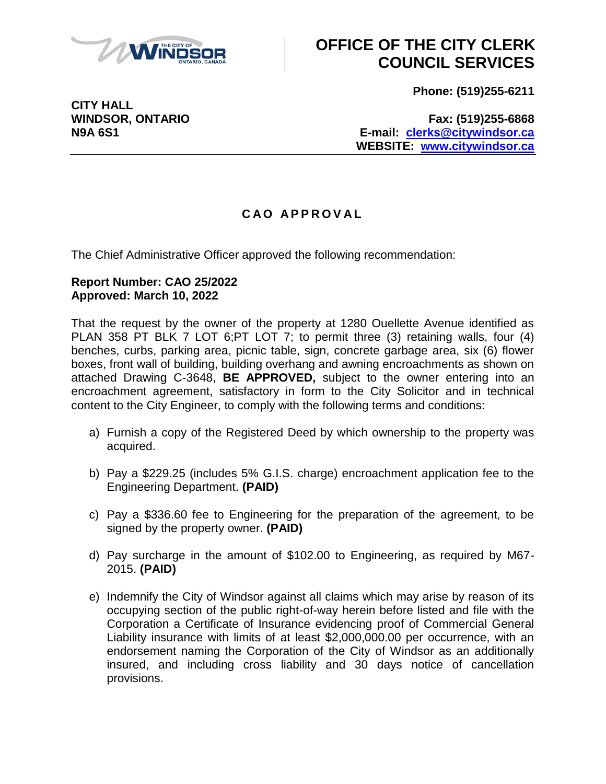

# **OFFICE OF THE CITY CLERK COUNCIL SERVICES**

**Phone: (519)255-6211**

**CITY HALL**

**WINDSOR, ONTARIO Fax: (519)255-6868 N9A 6S1 E-mail: [clerks@citywindsor.ca](mailto:clerks@citywindsor.ca) WEBSITE: [www.citywindsor.ca](http://www.citywindsor.ca/)**

### **C A O A P P R O V A L**

The Chief Administrative Officer approved the following recommendation:

#### **Report Number: CAO 25/2022 Approved: March 10, 2022**

That the request by the owner of the property at 1280 Ouellette Avenue identified as PLAN 358 PT BLK 7 LOT 6; PT LOT 7; to permit three (3) retaining walls, four (4) benches, curbs, parking area, picnic table, sign, concrete garbage area, six (6) flower boxes, front wall of building, building overhang and awning encroachments as shown on attached Drawing C-3648, **BE APPROVED,** subject to the owner entering into an encroachment agreement, satisfactory in form to the City Solicitor and in technical content to the City Engineer, to comply with the following terms and conditions:

- a) Furnish a copy of the Registered Deed by which ownership to the property was acquired.
- b) Pay a \$229.25 (includes 5% G.I.S. charge) encroachment application fee to the Engineering Department. **(PAID)**
- c) Pay a \$336.60 fee to Engineering for the preparation of the agreement, to be signed by the property owner. **(PAID)**
- d) Pay surcharge in the amount of \$102.00 to Engineering, as required by M67- 2015. **(PAID)**
- e) Indemnify the City of Windsor against all claims which may arise by reason of its occupying section of the public right-of-way herein before listed and file with the Corporation a Certificate of Insurance evidencing proof of Commercial General Liability insurance with limits of at least \$2,000,000.00 per occurrence, with an endorsement naming the Corporation of the City of Windsor as an additionally insured, and including cross liability and 30 days notice of cancellation provisions.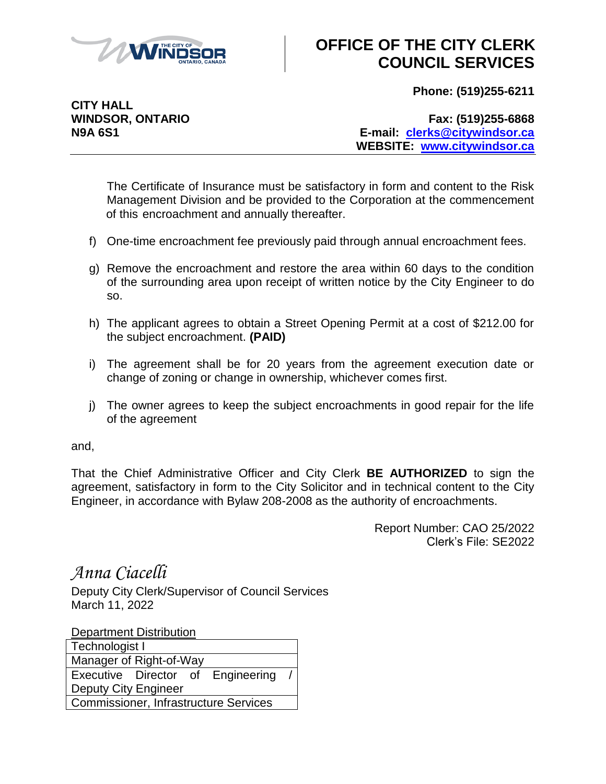

# **OFFICE OF THE CITY CLERK COUNCIL SERVICES**

**Phone: (519)255-6211**

**CITY HALL**

**WINDSOR, ONTARIO Fax: (519)255-6868 N9A 6S1 E-mail: [clerks@citywindsor.ca](mailto:clerks@citywindsor.ca) WEBSITE: [www.citywindsor.ca](http://www.citywindsor.ca/)**

The Certificate of Insurance must be satisfactory in form and content to the Risk Management Division and be provided to the Corporation at the commencement of this encroachment and annually thereafter.

- f) One-time encroachment fee previously paid through annual encroachment fees.
- g) Remove the encroachment and restore the area within 60 days to the condition of the surrounding area upon receipt of written notice by the City Engineer to do so.
- h) The applicant agrees to obtain a Street Opening Permit at a cost of \$212.00 for the subject encroachment. **(PAID)**
- i) The agreement shall be for 20 years from the agreement execution date or change of zoning or change in ownership, whichever comes first.
- j) The owner agrees to keep the subject encroachments in good repair for the life of the agreement

and,

That the Chief Administrative Officer and City Clerk **BE AUTHORIZED** to sign the agreement, satisfactory in form to the City Solicitor and in technical content to the City Engineer, in accordance with Bylaw 208-2008 as the authority of encroachments.

> Report Number: CAO 25/2022 Clerk's File: SE2022

*Anna Ciacelli*

Deputy City Clerk/Supervisor of Council Services March 11, 2022

Department Distribution

| Technologist I                               |  |  |                                   |  |  |  |
|----------------------------------------------|--|--|-----------------------------------|--|--|--|
| Manager of Right-of-Way                      |  |  |                                   |  |  |  |
|                                              |  |  | Executive Director of Engineering |  |  |  |
| <b>Deputy City Engineer</b>                  |  |  |                                   |  |  |  |
| <b>Commissioner, Infrastructure Services</b> |  |  |                                   |  |  |  |